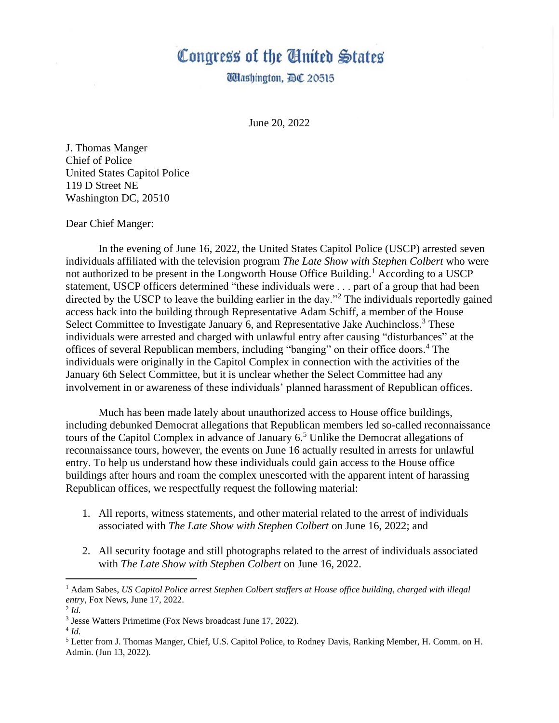## Congress of the Cinited States

**Udashington, DC 20515** 

June 20, 2022

J. Thomas Manger Chief of Police United States Capitol Police 119 D Street NE Washington DC, 20510

Dear Chief Manger:

In the evening of June 16, 2022, the United States Capitol Police (USCP) arrested seven individuals affiliated with the television program *The Late Show with Stephen Colbert* who were not authorized to be present in the Longworth House Office Building.<sup>1</sup> According to a USCP statement, USCP officers determined "these individuals were . . . part of a group that had been directed by the USCP to leave the building earlier in the day."<sup>2</sup> The individuals reportedly gained access back into the building through Representative Adam Schiff, a member of the House Select Committee to Investigate January 6, and Representative Jake Auchincloss.<sup>3</sup> These individuals were arrested and charged with unlawful entry after causing "disturbances" at the offices of several Republican members, including "banging" on their office doors. <sup>4</sup> The individuals were originally in the Capitol Complex in connection with the activities of the January 6th Select Committee, but it is unclear whether the Select Committee had any involvement in or awareness of these individuals' planned harassment of Republican offices.

Much has been made lately about unauthorized access to House office buildings, including debunked Democrat allegations that Republican members led so-called reconnaissance tours of the Capitol Complex in advance of January  $6<sup>5</sup>$  Unlike the Democrat allegations of reconnaissance tours, however, the events on June 16 actually resulted in arrests for unlawful entry. To help us understand how these individuals could gain access to the House office buildings after hours and roam the complex unescorted with the apparent intent of harassing Republican offices, we respectfully request the following material:

- 1. All reports, witness statements, and other material related to the arrest of individuals associated with *The Late Show with Stephen Colbert* on June 16, 2022; and
- 2. All security footage and still photographs related to the arrest of individuals associated with *The Late Show with Stephen Colbert* on June 16, 2022.

<sup>1</sup> Adam Sabes, *US Capitol Police arrest Stephen Colbert staffers at House office building, charged with illegal entry*, Fox News, June 17, 2022.

<sup>2</sup> *Id.*

<sup>&</sup>lt;sup>3</sup> Jesse Watters Primetime (Fox News broadcast June 17, 2022).

<sup>4</sup> *Id.*

<sup>5</sup> Letter from J. Thomas Manger, Chief, U.S. Capitol Police, to Rodney Davis, Ranking Member, H. Comm. on H. Admin. (Jun 13, 2022).